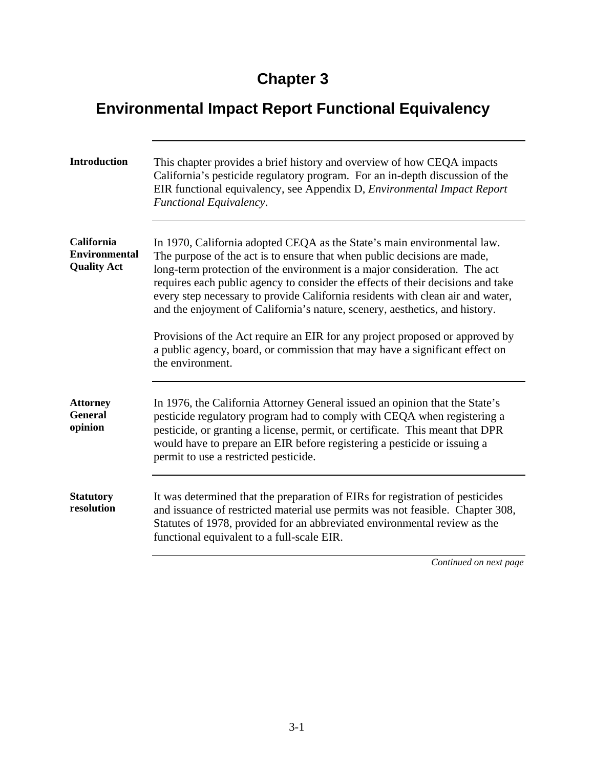## **Chapter 3**

## **Environmental Impact Report Functional Equivalency**

| <b>Introduction</b>                                      | This chapter provides a brief history and overview of how CEQA impacts<br>California's pesticide regulatory program. For an in-depth discussion of the<br>EIR functional equivalency, see Appendix D, Environmental Impact Report<br>Functional Equivalency.                                                                                                                                                                                                                                                                                                                                                                                                            |
|----------------------------------------------------------|-------------------------------------------------------------------------------------------------------------------------------------------------------------------------------------------------------------------------------------------------------------------------------------------------------------------------------------------------------------------------------------------------------------------------------------------------------------------------------------------------------------------------------------------------------------------------------------------------------------------------------------------------------------------------|
| California<br><b>Environmental</b><br><b>Quality Act</b> | In 1970, California adopted CEQA as the State's main environmental law.<br>The purpose of the act is to ensure that when public decisions are made,<br>long-term protection of the environment is a major consideration. The act<br>requires each public agency to consider the effects of their decisions and take<br>every step necessary to provide California residents with clean air and water,<br>and the enjoyment of California's nature, scenery, aesthetics, and history.<br>Provisions of the Act require an EIR for any project proposed or approved by<br>a public agency, board, or commission that may have a significant effect on<br>the environment. |
| <b>Attorney</b><br><b>General</b><br>opinion             | In 1976, the California Attorney General issued an opinion that the State's<br>pesticide regulatory program had to comply with CEQA when registering a<br>pesticide, or granting a license, permit, or certificate. This meant that DPR<br>would have to prepare an EIR before registering a pesticide or issuing a<br>permit to use a restricted pesticide.                                                                                                                                                                                                                                                                                                            |
| <b>Statutory</b><br>resolution                           | It was determined that the preparation of EIRs for registration of pesticides<br>and issuance of restricted material use permits was not feasible. Chapter 308,<br>Statutes of 1978, provided for an abbreviated environmental review as the<br>functional equivalent to a full-scale EIR.                                                                                                                                                                                                                                                                                                                                                                              |
|                                                          | Continued on next page                                                                                                                                                                                                                                                                                                                                                                                                                                                                                                                                                                                                                                                  |